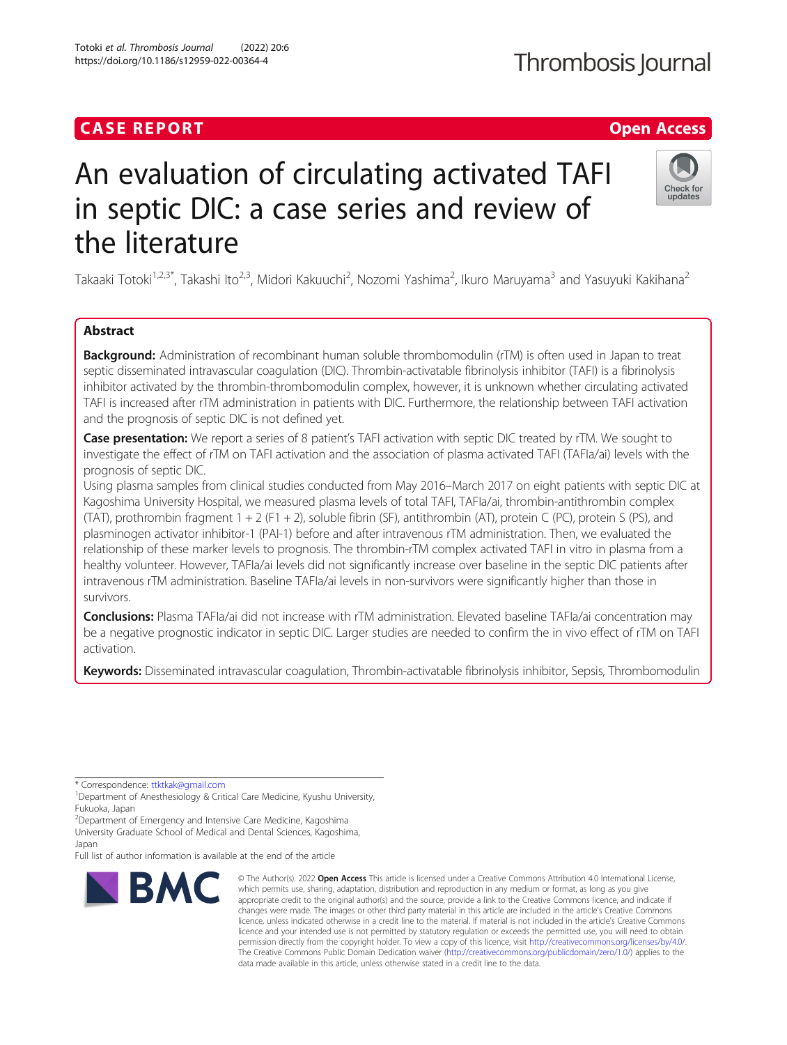# **CASE REPORT CASE REPORT CASE REPORT**

# An evaluation of circulating activated TAFI in septic DIC: a case series and review of the literature

Takaaki Totoki<sup>1,2,3\*</sup>, Takashi Ito<sup>2,3</sup>, Midori Kakuuchi<sup>2</sup>, Nozomi Yashima<sup>2</sup>, Ikuro Maruyama<sup>3</sup> and Yasuyuki Kakihana<sup>2</sup>

## Abstract

**Background:** Administration of recombinant human soluble thrombomodulin (rTM) is often used in Japan to treat septic disseminated intravascular coagulation (DIC). Thrombin-activatable fibrinolysis inhibitor (TAFI) is a fibrinolysis inhibitor activated by the thrombin-thrombomodulin complex, however, it is unknown whether circulating activated TAFI is increased after rTM administration in patients with DIC. Furthermore, the relationship between TAFI activation and the prognosis of septic DIC is not defined yet.

Case presentation: We report a series of 8 patient's TAFI activation with septic DIC treated by rTM. We sought to investigate the effect of rTM on TAFI activation and the association of plasma activated TAFI (TAFIa/ai) levels with the prognosis of septic DIC.

Using plasma samples from clinical studies conducted from May 2016–March 2017 on eight patients with septic DIC at Kagoshima University Hospital, we measured plasma levels of total TAFI, TAFIa/ai, thrombin-antithrombin complex (TAT), prothrombin fragment 1 + 2 (F1 + 2), soluble fibrin (SF), antithrombin (AT), protein C (PC), protein S (PS), and plasminogen activator inhibitor-1 (PAI-1) before and after intravenous rTM administration. Then, we evaluated the relationship of these marker levels to prognosis. The thrombin-rTM complex activated TAFI in vitro in plasma from a healthy volunteer. However, TAFIa/ai levels did not significantly increase over baseline in the septic DIC patients after intravenous rTM administration. Baseline TAFIa/ai levels in non-survivors were significantly higher than those in survivors.

Conclusions: Plasma TAFIa/ai did not increase with rTM administration. Elevated baseline TAFIa/ai concentration may be a negative prognostic indicator in septic DIC. Larger studies are needed to confirm the in vivo effect of rTM on TAFI activation.

Keywords: Disseminated intravascular coagulation, Thrombin-activatable fibrinolysis inhibitor, Sepsis, Thrombomodulin

\* Correspondence: [ttktkak@gmail.com](mailto:ttktkak@gmail.com) <sup>1</sup>

<sup>2</sup> Department of Emergency and Intensive Care Medicine, Kagoshima University Graduate School of Medical and Dental Sciences, Kagoshima, Japan

Full list of author information is available at the end of the article

**BMC** 

#### © The Author(s), 2022 **Open Access** This article is licensed under a Creative Commons Attribution 4.0 International License, which permits use, sharing, adaptation, distribution and reproduction in any medium or format, as long as you give appropriate credit to the original author(s) and the source, provide a link to the Creative Commons licence, and indicate if changes were made. The images or other third party material in this article are included in the article's Creative Commons licence, unless indicated otherwise in a credit line to the material. If material is not included in the article's Creative Commons licence and your intended use is not permitted by statutory regulation or exceeds the permitted use, you will need to obtain permission directly from the copyright holder. To view a copy of this licence, visit [http://creativecommons.org/licenses/by/4.0/.](http://creativecommons.org/licenses/by/4.0/) The Creative Commons Public Domain Dedication waiver [\(http://creativecommons.org/publicdomain/zero/1.0/](http://creativecommons.org/publicdomain/zero/1.0/)) applies to the data made available in this article, unless otherwise stated in a credit line to the data.

Totoki et al. Thrombosis Journal (2022) 20:6 https://doi.org/10.1186/s12959-022-00364-4





<sup>&</sup>lt;sup>1</sup>Department of Anesthesiology & Critical Care Medicine, Kyushu University, Fukuoka, Japan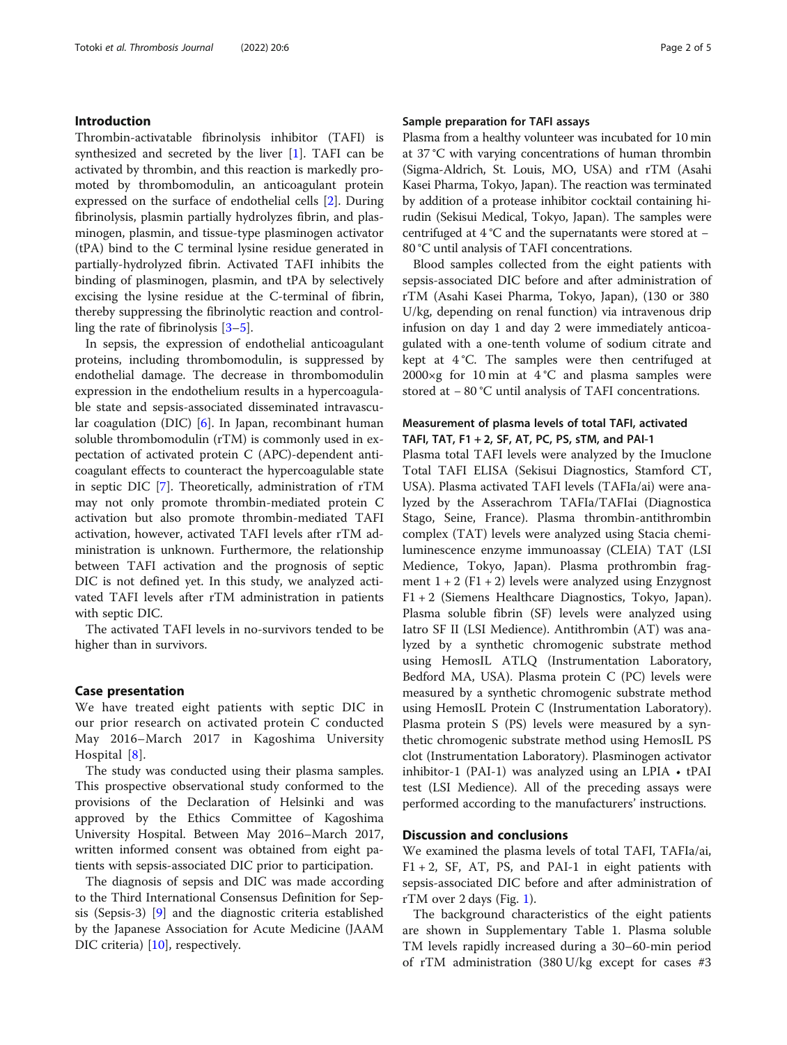#### Introduction

Thrombin-activatable fibrinolysis inhibitor (TAFI) is synthesized and secreted by the liver [\[1](#page-3-0)]. TAFI can be activated by thrombin, and this reaction is markedly promoted by thrombomodulin, an anticoagulant protein expressed on the surface of endothelial cells [[2\]](#page-3-0). During fibrinolysis, plasmin partially hydrolyzes fibrin, and plasminogen, plasmin, and tissue-type plasminogen activator (tPA) bind to the C terminal lysine residue generated in partially-hydrolyzed fibrin. Activated TAFI inhibits the binding of plasminogen, plasmin, and tPA by selectively excising the lysine residue at the C-terminal of fibrin, thereby suppressing the fibrinolytic reaction and controlling the rate of fibrinolysis [[3](#page-3-0)–[5](#page-3-0)].

In sepsis, the expression of endothelial anticoagulant proteins, including thrombomodulin, is suppressed by endothelial damage. The decrease in thrombomodulin expression in the endothelium results in a hypercoagulable state and sepsis-associated disseminated intravascular coagulation (DIC) [[6\]](#page-3-0). In Japan, recombinant human soluble thrombomodulin (rTM) is commonly used in expectation of activated protein C (APC)-dependent anticoagulant effects to counteract the hypercoagulable state in septic DIC [\[7\]](#page-3-0). Theoretically, administration of rTM may not only promote thrombin-mediated protein C activation but also promote thrombin-mediated TAFI activation, however, activated TAFI levels after rTM administration is unknown. Furthermore, the relationship between TAFI activation and the prognosis of septic DIC is not defined yet. In this study, we analyzed activated TAFI levels after rTM administration in patients with septic DIC.

The activated TAFI levels in no-survivors tended to be higher than in survivors.

#### Case presentation

We have treated eight patients with septic DIC in our prior research on activated protein C conducted May 2016–March 2017 in Kagoshima University Hospital [[8\]](#page-3-0).

The study was conducted using their plasma samples. This prospective observational study conformed to the provisions of the Declaration of Helsinki and was approved by the Ethics Committee of Kagoshima University Hospital. Between May 2016–March 2017, written informed consent was obtained from eight patients with sepsis-associated DIC prior to participation.

The diagnosis of sepsis and DIC was made according to the Third International Consensus Definition for Sepsis (Sepsis-3) [\[9](#page-3-0)] and the diagnostic criteria established by the Japanese Association for Acute Medicine (JAAM DIC criteria) [[10\]](#page-3-0), respectively.

#### Sample preparation for TAFI assays

Plasma from a healthy volunteer was incubated for 10 min at 37 °C with varying concentrations of human thrombin (Sigma-Aldrich, St. Louis, MO, USA) and rTM (Asahi Kasei Pharma, Tokyo, Japan). The reaction was terminated by addition of a protease inhibitor cocktail containing hirudin (Sekisui Medical, Tokyo, Japan). The samples were centrifuged at 4 °C and the supernatants were stored at − 80 °C until analysis of TAFI concentrations.

Blood samples collected from the eight patients with sepsis-associated DIC before and after administration of rTM (Asahi Kasei Pharma, Tokyo, Japan), (130 or 380 U/kg, depending on renal function) via intravenous drip infusion on day 1 and day 2 were immediately anticoagulated with a one-tenth volume of sodium citrate and kept at 4 °C. The samples were then centrifuged at 2000×g for 10 min at  $4^{\circ}$ C and plasma samples were stored at − 80 °C until analysis of TAFI concentrations.

### Measurement of plasma levels of total TAFI, activated TAFI, TAT, F1 + 2, SF, AT, PC, PS, sTM, and PAI-1

Plasma total TAFI levels were analyzed by the Imuclone Total TAFI ELISA (Sekisui Diagnostics, Stamford CT, USA). Plasma activated TAFI levels (TAFIa/ai) were analyzed by the Asserachrom TAFIa/TAFIai (Diagnostica Stago, Seine, France). Plasma thrombin-antithrombin complex (TAT) levels were analyzed using Stacia chemiluminescence enzyme immunoassay (CLEIA) TAT (LSI Medience, Tokyo, Japan). Plasma prothrombin fragment  $1 + 2$  (F1 + 2) levels were analyzed using Enzygnost F1 + 2 (Siemens Healthcare Diagnostics, Tokyo, Japan). Plasma soluble fibrin (SF) levels were analyzed using Iatro SF II (LSI Medience). Antithrombin (AT) was analyzed by a synthetic chromogenic substrate method using HemosIL ATLQ (Instrumentation Laboratory, Bedford MA, USA). Plasma protein C (PC) levels were measured by a synthetic chromogenic substrate method using HemosIL Protein C (Instrumentation Laboratory). Plasma protein S (PS) levels were measured by a synthetic chromogenic substrate method using HemosIL PS clot (Instrumentation Laboratory). Plasminogen activator inhibitor-1 (PAI-1) was analyzed using an LPIA • tPAI test (LSI Medience). All of the preceding assays were performed according to the manufacturers' instructions.

#### Discussion and conclusions

We examined the plasma levels of total TAFI, TAFIa/ai,  $F1 + 2$ , SF, AT, PS, and PAI-1 in eight patients with sepsis-associated DIC before and after administration of rTM over 2 days (Fig. [1\)](#page-2-0).

The background characteristics of the eight patients are shown in Supplementary Table 1. Plasma soluble TM levels rapidly increased during a 30–60-min period of rTM administration (380 U/kg except for cases #3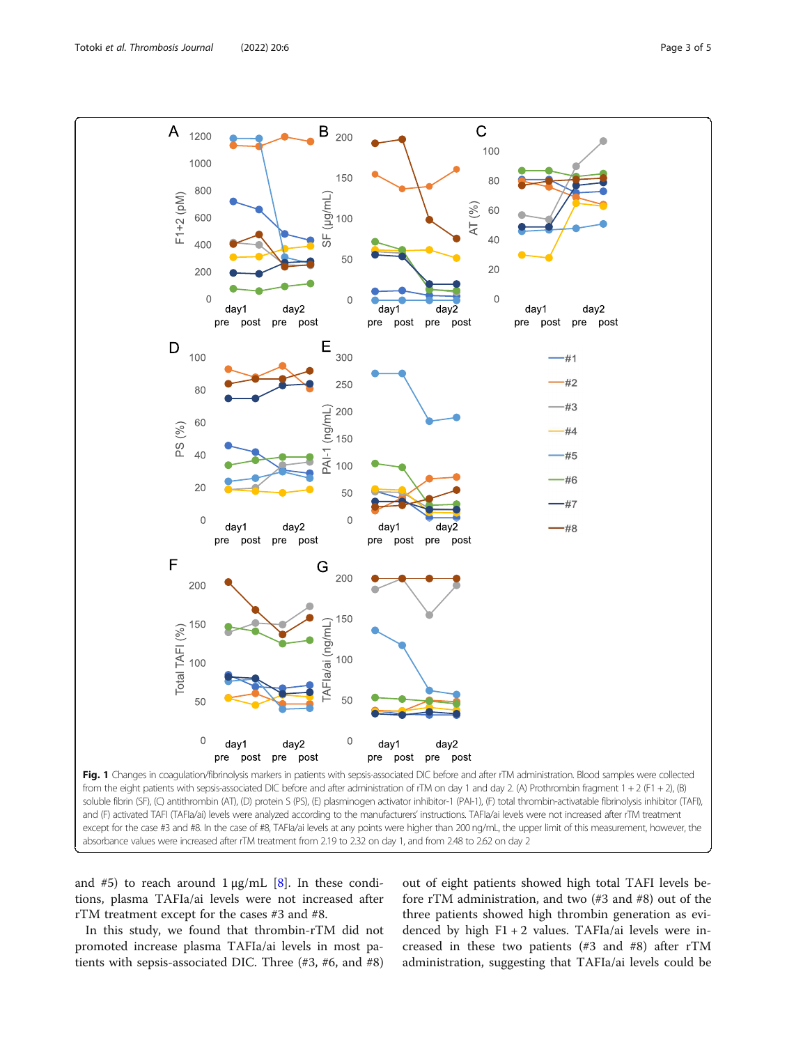<span id="page-2-0"></span>

and #5) to reach around  $1 \mu g/mL$  [\[8\]](#page-3-0). In these conditions, plasma TAFIa/ai levels were not increased after rTM treatment except for the cases #3 and #8.

In this study, we found that thrombin-rTM did not promoted increase plasma TAFIa/ai levels in most patients with sepsis-associated DIC. Three (#3, #6, and #8) out of eight patients showed high total TAFI levels before rTM administration, and two (#3 and #8) out of the three patients showed high thrombin generation as evidenced by high  $F1 + 2$  values. TAFIa/ai levels were increased in these two patients (#3 and #8) after rTM administration, suggesting that TAFIa/ai levels could be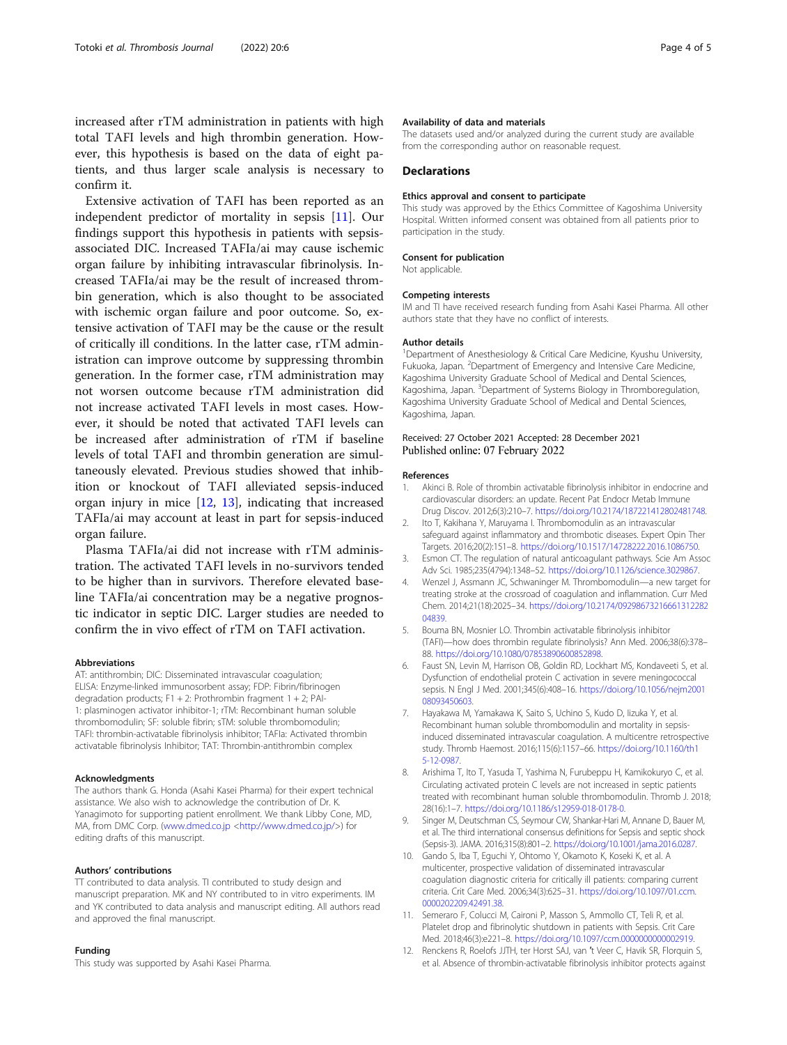<span id="page-3-0"></span>increased after rTM administration in patients with high total TAFI levels and high thrombin generation. However, this hypothesis is based on the data of eight patients, and thus larger scale analysis is necessary to confirm it.

Extensive activation of TAFI has been reported as an independent predictor of mortality in sepsis [11]. Our findings support this hypothesis in patients with sepsisassociated DIC. Increased TAFIa/ai may cause ischemic organ failure by inhibiting intravascular fibrinolysis. Increased TAFIa/ai may be the result of increased thrombin generation, which is also thought to be associated with ischemic organ failure and poor outcome. So, extensive activation of TAFI may be the cause or the result of critically ill conditions. In the latter case, rTM administration can improve outcome by suppressing thrombin generation. In the former case, rTM administration may not worsen outcome because rTM administration did not increase activated TAFI levels in most cases. However, it should be noted that activated TAFI levels can be increased after administration of rTM if baseline levels of total TAFI and thrombin generation are simultaneously elevated. Previous studies showed that inhibition or knockout of TAFI alleviated sepsis-induced organ injury in mice [12, [13\]](#page-4-0), indicating that increased TAFIa/ai may account at least in part for sepsis-induced organ failure.

Plasma TAFIa/ai did not increase with rTM administration. The activated TAFI levels in no-survivors tended to be higher than in survivors. Therefore elevated baseline TAFIa/ai concentration may be a negative prognostic indicator in septic DIC. Larger studies are needed to confirm the in vivo effect of rTM on TAFI activation.

#### Abbreviations

AT: antithrombin; DIC: Disseminated intravascular coagulation; ELISA: Enzyme-linked immunosorbent assay; FDP: Fibrin/fibrinogen degradation products;  $F1 + 2$ : Prothrombin fragment  $1 + 2$ ; PAI-1: plasminogen activator inhibitor-1; rTM: Recombinant human soluble thrombomodulin; SF: soluble fibrin; sTM: soluble thrombomodulin; TAFI: thrombin-activatable fibrinolysis inhibitor; TAFIa: Activated thrombin activatable fibrinolysis Inhibitor; TAT: Thrombin-antithrombin complex

#### Acknowledgments

The authors thank G. Honda (Asahi Kasei Pharma) for their expert technical assistance. We also wish to acknowledge the contribution of Dr. K. Yanagimoto for supporting patient enrollment. We thank Libby Cone, MD, MA, from DMC Corp. ([www.dmed.co.jp](http://www.dmed.co.jp/) [<http://www.dmed.co.jp/>](http://www.dmed.co.jp/)) for editing drafts of this manuscript.

#### Authors' contributions

TT contributed to data analysis. TI contributed to study design and manuscript preparation. MK and NY contributed to in vitro experiments. IM and YK contributed to data analysis and manuscript editing. All authors read and approved the final manuscript.

#### Funding

This study was supported by Asahi Kasei Pharma.

#### Availability of data and materials

The datasets used and/or analyzed during the current study are available from the corresponding author on reasonable request.

#### **Declarations**

#### Ethics approval and consent to participate

This study was approved by the Ethics Committee of Kagoshima University Hospital. Written informed consent was obtained from all patients prior to participation in the study.

#### Consent for publication

Not applicable.

#### Competing interests

IM and TI have received research funding from Asahi Kasei Pharma. All other authors state that they have no conflict of interests.

#### Author details

<sup>1</sup>Department of Anesthesiology & Critical Care Medicine, Kyushu University, Fukuoka, Japan. <sup>2</sup>Department of Emergency and Intensive Care Medicine, Kagoshima University Graduate School of Medical and Dental Sciences, Kagoshima, Japan. <sup>3</sup>Department of Systems Biology in Thromboregulation Kagoshima University Graduate School of Medical and Dental Sciences, Kagoshima, Japan.

#### Received: 27 October 2021 Accepted: 28 December 2021 Published online: 07 February 2022

#### References

- 1. Akinci B. Role of thrombin activatable fibrinolysis inhibitor in endocrine and cardiovascular disorders: an update. Recent Pat Endocr Metab Immune Drug Discov. 2012;6(3):210–7. [https://doi.org/10.2174/187221412802481748.](https://doi.org/10.2174/187221412802481748)
- 2. Ito T, Kakihana Y, Maruyama I. Thrombomodulin as an intravascular safeguard against inflammatory and thrombotic diseases. Expert Opin Ther Targets. 2016;20(2):151–8. [https://doi.org/10.1517/14728222.2016.1086750.](https://doi.org/10.1517/14728222.2016.1086750)
- 3. Esmon CT. The regulation of natural anticoagulant pathways. Scie Am Assoc Adv Sci. 1985;235(4794):1348–52. <https://doi.org/10.1126/science.3029867>.
- 4. Wenzel J, Assmann JC, Schwaninger M. Thrombomodulin—a new target for treating stroke at the crossroad of coagulation and inflammation. Curr Med Chem. 2014;21(18):2025–34. [https://doi.org/10.2174/09298673216661312282](https://doi.org/10.2174/0929867321666131228204839) [04839.](https://doi.org/10.2174/0929867321666131228204839)
- 5. Bouma BN, Mosnier LO. Thrombin activatable fibrinolysis inhibitor (TAFI)—how does thrombin regulate fibrinolysis? Ann Med. 2006;38(6):378– 88. <https://doi.org/10.1080/07853890600852898>.
- 6. Faust SN, Levin M, Harrison OB, Goldin RD, Lockhart MS, Kondaveeti S, et al. Dysfunction of endothelial protein C activation in severe meningococcal sepsis. N Engl J Med. 2001;345(6):408–16. [https://doi.org/10.1056/nejm2001](https://doi.org/10.1056/nejm200108093450603) [08093450603](https://doi.org/10.1056/nejm200108093450603).
- 7. Hayakawa M, Yamakawa K, Saito S, Uchino S, Kudo D, Iizuka Y, et al. Recombinant human soluble thrombomodulin and mortality in sepsisinduced disseminated intravascular coagulation. A multicentre retrospective study. Thromb Haemost. 2016;115(6):1157–66. [https://doi.org/10.1160/th1](https://doi.org/10.1160/th15-12-0987) [5-12-0987.](https://doi.org/10.1160/th15-12-0987)
- Arishima T, Ito T, Yasuda T, Yashima N, Furubeppu H, Kamikokuryo C, et al. Circulating activated protein C levels are not increased in septic patients treated with recombinant human soluble thrombomodulin. Thromb J. 2018; 28(16):1–7. <https://doi.org/10.1186/s12959-018-0178-0>.
- 9. Singer M, Deutschman CS, Seymour CW, Shankar-Hari M, Annane D, Bauer M, et al. The third international consensus definitions for Sepsis and septic shock (Sepsis-3). JAMA. 2016;315(8):801–2. <https://doi.org/10.1001/jama.2016.0287>.
- 10. Gando S, Iba T, Eguchi Y, Ohtomo Y, Okamoto K, Koseki K, et al. A multicenter, prospective validation of disseminated intravascular coagulation diagnostic criteria for critically ill patients: comparing current criteria. Crit Care Med. 2006;34(3):625–31. [https://doi.org/10.1097/01.ccm.](https://doi.org/10.1097/01.ccm.0000202209.42491.38) [0000202209.42491.38](https://doi.org/10.1097/01.ccm.0000202209.42491.38).
- 11. Semeraro F, Colucci M, Caironi P, Masson S, Ammollo CT, Teli R, et al. Platelet drop and fibrinolytic shutdown in patients with Sepsis. Crit Care Med. 2018;46(3):e221–8. [https://doi.org/10.1097/ccm.0000000000002919.](https://doi.org/10.1097/ccm.0000000000002919)
- 12. Renckens R, Roelofs JJTH, ter Horst SAJ, van ′t Veer C, Havik SR, Florquin S, et al. Absence of thrombin-activatable fibrinolysis inhibitor protects against